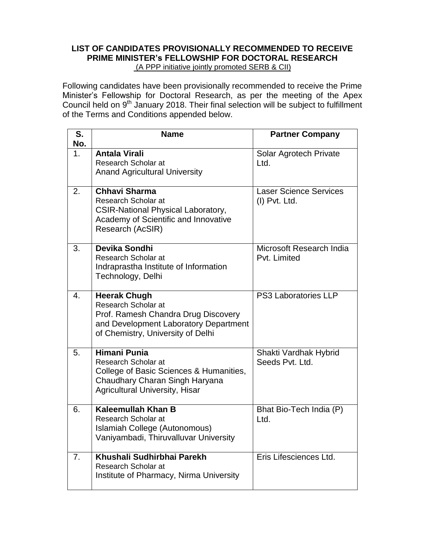## **LIST OF CANDIDATES PROVISIONALLY RECOMMENDED TO RECEIVE PRIME MINISTER's FELLOWSHIP FOR DOCTORAL RESEARCH**  (A PPP initiative jointly promoted SERB & CII)

Following candidates have been provisionally recommended to receive the Prime Minister's Fellowship for Doctoral Research, as per the meeting of the Apex Council held on 9<sup>th</sup> January 2018. Their final selection will be subject to fulfillment of the Terms and Conditions appended below.

| S.<br>No.        | <b>Name</b>                                                                                                                                                             | <b>Partner Company</b>                         |
|------------------|-------------------------------------------------------------------------------------------------------------------------------------------------------------------------|------------------------------------------------|
| $1_{-}$          | <b>Antala Virali</b><br>Research Scholar at<br><b>Anand Agricultural University</b>                                                                                     | Solar Agrotech Private<br>Ltd.                 |
| 2.               | <b>Chhavi Sharma</b><br><b>Research Scholar at</b><br><b>CSIR-National Physical Laboratory,</b><br>Academy of Scientific and Innovative<br>Research (AcSIR)             | <b>Laser Science Services</b><br>(I) Pvt. Ltd. |
| 3.               | Devika Sondhi<br><b>Research Scholar at</b><br>Indraprastha Institute of Information<br>Technology, Delhi                                                               | Microsoft Research India<br>Pvt. Limited       |
| $\overline{4}$ . | <b>Heerak Chugh</b><br>Research Scholar at<br>Prof. Ramesh Chandra Drug Discovery<br>and Development Laboratory Department<br>of Chemistry, University of Delhi         | PS3 Laboratories LLP                           |
| 5.               | <b>Himani Punia</b><br><b>Research Scholar at</b><br>College of Basic Sciences & Humanities,<br>Chaudhary Charan Singh Haryana<br><b>Agricultural University, Hisar</b> | Shakti Vardhak Hybrid<br>Seeds Pvt. Ltd.       |
| 6.               | Kaleemullah Khan B<br><b>Research Scholar at</b><br>Islamiah College (Autonomous)<br>Vaniyambadi, Thiruvalluvar University                                              | Bhat Bio-Tech India (P)<br>Ltd.                |
| 7.               | Khushali Sudhirbhai Parekh<br>Research Scholar at<br>Institute of Pharmacy, Nirma University                                                                            | Eris Lifesciences Ltd.                         |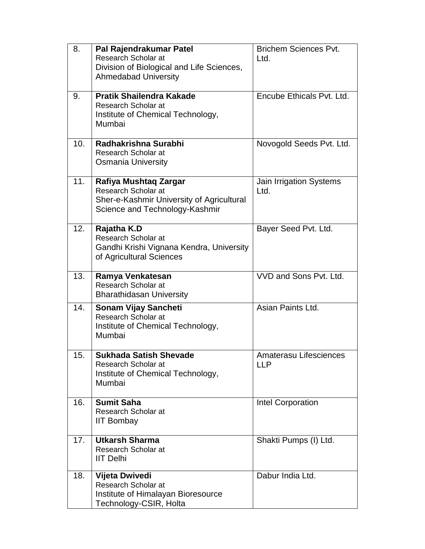| 8.  | Pal Rajendrakumar Patel<br>Research Scholar at<br>Division of Biological and Life Sciences,<br><b>Ahmedabad University</b>  | <b>Brichem Sciences Pvt.</b><br>Ltd. |
|-----|-----------------------------------------------------------------------------------------------------------------------------|--------------------------------------|
| 9.  | <b>Pratik Shailendra Kakade</b><br>Research Scholar at<br>Institute of Chemical Technology,<br>Mumbai                       | Encube Ethicals Pvt. Ltd.            |
| 10. | Radhakrishna Surabhi<br>Research Scholar at<br><b>Osmania University</b>                                                    | Novogold Seeds Pvt. Ltd.             |
| 11. | Rafiya Mushtaq Zargar<br>Research Scholar at<br>Sher-e-Kashmir University of Agricultural<br>Science and Technology-Kashmir | Jain Irrigation Systems<br>Ltd.      |
| 12. | Rajatha K.D<br>Research Scholar at<br>Gandhi Krishi Vignana Kendra, University<br>of Agricultural Sciences                  | Bayer Seed Pvt. Ltd.                 |
| 13. | Ramya Venkatesan<br>Research Scholar at<br><b>Bharathidasan University</b>                                                  | VVD and Sons Pvt. Ltd.               |
| 14. | <b>Sonam Vijay Sancheti</b><br>Research Scholar at<br>Institute of Chemical Technology,<br>Mumbai                           | Asian Paints Ltd.                    |
| 15. | <b>Sukhada Satish Shevade</b><br>Research Scholar at<br>Institute of Chemical Technology,<br>Mumbai                         | Amaterasu Lifesciences<br><b>LLP</b> |
| 16. | <b>Sumit Saha</b><br>Research Scholar at<br><b>IIT Bombay</b>                                                               | Intel Corporation                    |
| 17. | <b>Utkarsh Sharma</b><br>Research Scholar at<br><b>IIT Delhi</b>                                                            | Shakti Pumps (I) Ltd.                |
| 18. | Vijeta Dwivedi<br>Research Scholar at<br>Institute of Himalayan Bioresource<br>Technology-CSIR, Holta                       | Dabur India Ltd.                     |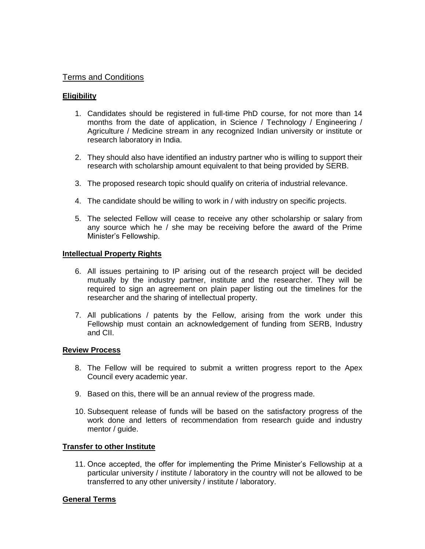# Terms and Conditions

## **Eligibility**

- 1. Candidates should be registered in full-time PhD course, for not more than 14 months from the date of application, in Science / Technology / Engineering / Agriculture / Medicine stream in any recognized Indian university or institute or research laboratory in India.
- 2. They should also have identified an industry partner who is willing to support their research with scholarship amount equivalent to that being provided by SERB.
- 3. The proposed research topic should qualify on criteria of industrial relevance.
- 4. The candidate should be willing to work in / with industry on specific projects.
- 5. The selected Fellow will cease to receive any other scholarship or salary from any source which he / she may be receiving before the award of the Prime Minister's Fellowship.

### **Intellectual Property Rights**

- 6. All issues pertaining to IP arising out of the research project will be decided mutually by the industry partner, institute and the researcher. They will be required to sign an agreement on plain paper listing out the timelines for the researcher and the sharing of intellectual property.
- 7. All publications / patents by the Fellow, arising from the work under this Fellowship must contain an acknowledgement of funding from SERB, Industry and CII.

### **Review Process**

- 8. The Fellow will be required to submit a written progress report to the Apex Council every academic year.
- 9. Based on this, there will be an annual review of the progress made.
- 10. Subsequent release of funds will be based on the satisfactory progress of the work done and letters of recommendation from research guide and industry mentor / guide.

### **Transfer to other Institute**

11. Once accepted, the offer for implementing the Prime Minister's Fellowship at a particular university / institute / laboratory in the country will not be allowed to be transferred to any other university / institute / laboratory.

### **General Terms**